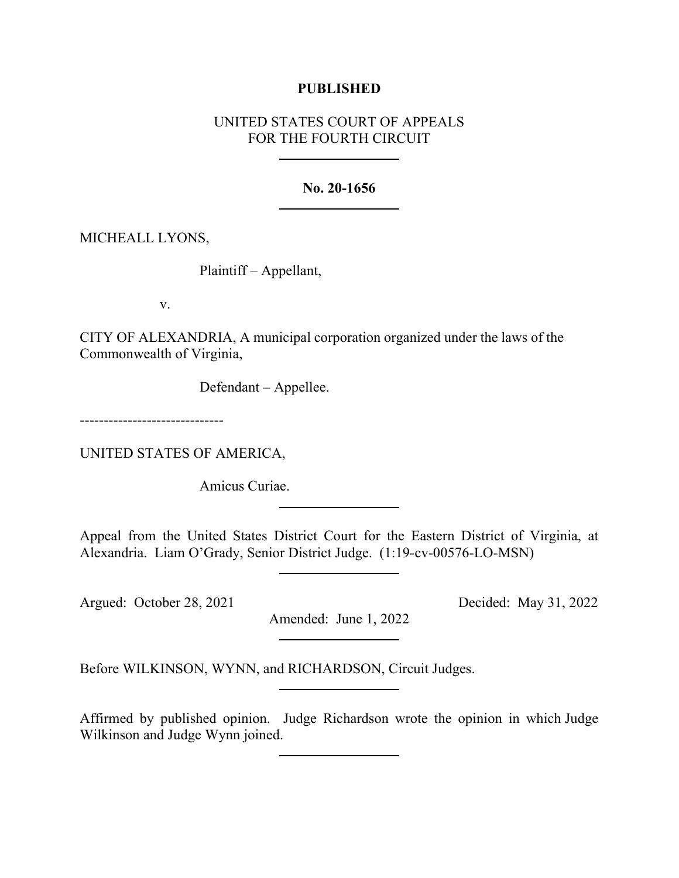## **PUBLISHED**

# UNITED STATES COURT OF APPEALS FOR THE FOURTH CIRCUIT

#### **No. 20-1656**

MICHEALL LYONS,

Plaintiff – Appellant,

v.

CITY OF ALEXANDRIA, A municipal corporation organized under the laws of the Commonwealth of Virginia,

Defendant – Appellee.

------------------------------

UNITED STATES OF AMERICA,

Amicus Curiae.

Appeal from the United States District Court for the Eastern District of Virginia, at Alexandria. Liam O'Grady, Senior District Judge. (1:19-cv-00576-LO-MSN)

Argued: October 28, 2021 Decided: May 31, 2022

Amended: June 1, 2022

Before WILKINSON, WYNN, and RICHARDSON, Circuit Judges.

Affirmed by published opinion. Judge Richardson wrote the opinion in which Judge Wilkinson and Judge Wynn joined.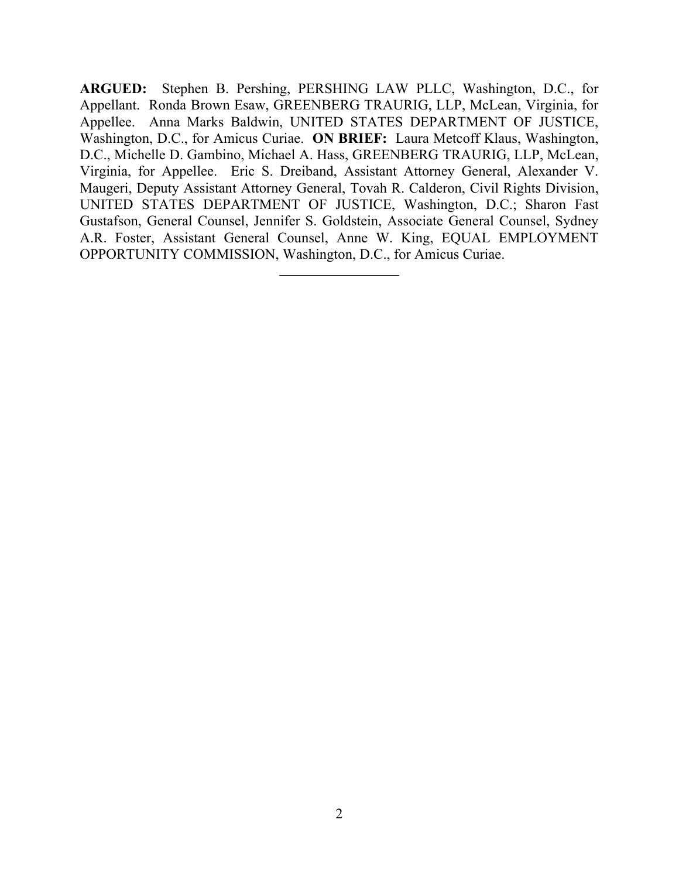**ARGUED:** Stephen B. Pershing, PERSHING LAW PLLC, Washington, D.C., for Appellant. Ronda Brown Esaw, GREENBERG TRAURIG, LLP, McLean, Virginia, for Appellee. Anna Marks Baldwin, UNITED STATES DEPARTMENT OF JUSTICE, Washington, D.C., for Amicus Curiae. **ON BRIEF:** Laura Metcoff Klaus, Washington, D.C., Michelle D. Gambino, Michael A. Hass, GREENBERG TRAURIG, LLP, McLean, Virginia, for Appellee. Eric S. Dreiband, Assistant Attorney General, Alexander V. Maugeri, Deputy Assistant Attorney General, Tovah R. Calderon, Civil Rights Division, UNITED STATES DEPARTMENT OF JUSTICE, Washington, D.C.; Sharon Fast Gustafson, General Counsel, Jennifer S. Goldstein, Associate General Counsel, Sydney A.R. Foster, Assistant General Counsel, Anne W. King, EQUAL EMPLOYMENT OPPORTUNITY COMMISSION, Washington, D.C., for Amicus Curiae.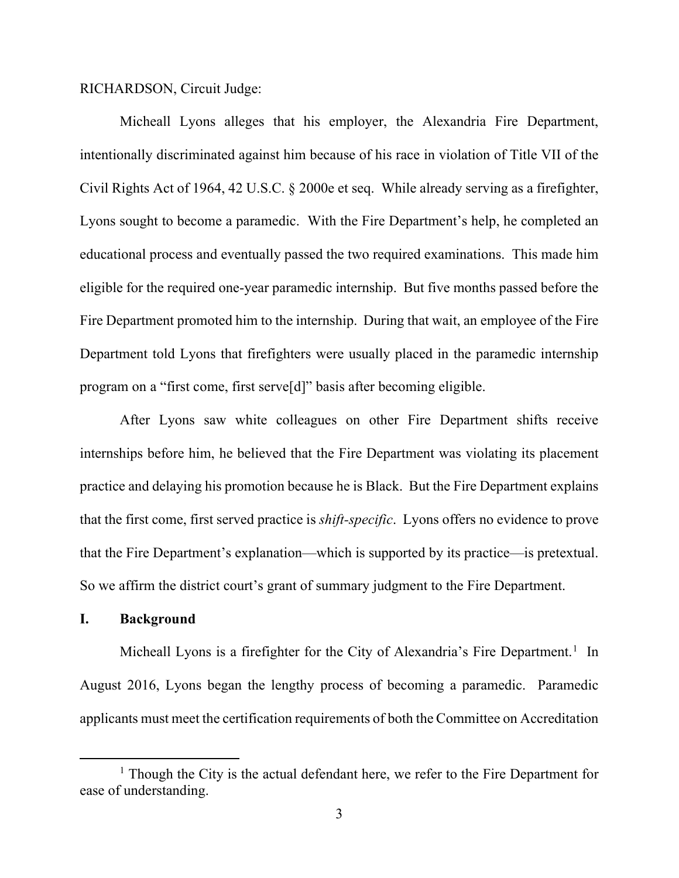RICHARDSON, Circuit Judge:

Micheall Lyons alleges that his employer, the Alexandria Fire Department, intentionally discriminated against him because of his race in violation of Title VII of the Civil Rights Act of 1964, 42 U.S.C. § 2000e et seq. While already serving as a firefighter, Lyons sought to become a paramedic. With the Fire Department's help, he completed an educational process and eventually passed the two required examinations. This made him eligible for the required one-year paramedic internship. But five months passed before the Fire Department promoted him to the internship. During that wait, an employee of the Fire Department told Lyons that firefighters were usually placed in the paramedic internship program on a "first come, first serve[d]" basis after becoming eligible.

After Lyons saw white colleagues on other Fire Department shifts receive internships before him, he believed that the Fire Department was violating its placement practice and delaying his promotion because he is Black. But the Fire Department explains that the first come, first served practice is *shift-specific*. Lyons offers no evidence to prove that the Fire Department's explanation—which is supported by its practice—is pretextual. So we affirm the district court's grant of summary judgment to the Fire Department.

## **I. Background**

Micheall Lyons is a firefighter for the City of Alexandria's Fire Department.<sup>[1](#page-2-0)</sup> In August 2016, Lyons began the lengthy process of becoming a paramedic. Paramedic applicants must meet the certification requirements of both the Committee on Accreditation

<span id="page-2-0"></span> $<sup>1</sup>$  Though the City is the actual defendant here, we refer to the Fire Department for</sup> ease of understanding.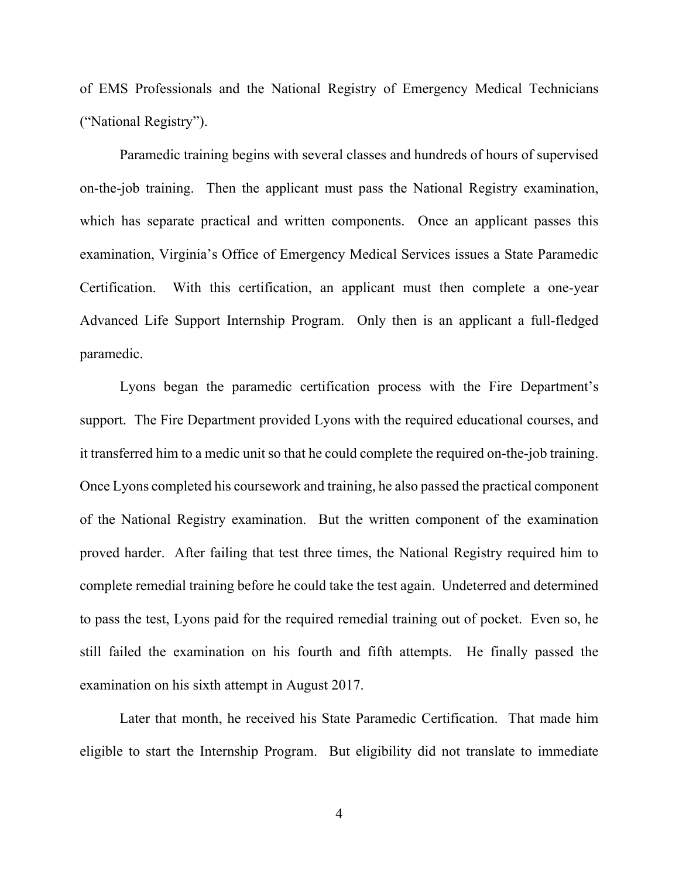of EMS Professionals and the National Registry of Emergency Medical Technicians ("National Registry").

Paramedic training begins with several classes and hundreds of hours of supervised on-the-job training. Then the applicant must pass the National Registry examination, which has separate practical and written components. Once an applicant passes this examination, Virginia's Office of Emergency Medical Services issues a State Paramedic Certification. With this certification, an applicant must then complete a one-year Advanced Life Support Internship Program. Only then is an applicant a full-fledged paramedic.

Lyons began the paramedic certification process with the Fire Department's support. The Fire Department provided Lyons with the required educational courses, and it transferred him to a medic unit so that he could complete the required on-the-job training. Once Lyons completed his coursework and training, he also passed the practical component of the National Registry examination. But the written component of the examination proved harder. After failing that test three times, the National Registry required him to complete remedial training before he could take the test again. Undeterred and determined to pass the test, Lyons paid for the required remedial training out of pocket. Even so, he still failed the examination on his fourth and fifth attempts. He finally passed the examination on his sixth attempt in August 2017.

Later that month, he received his State Paramedic Certification. That made him eligible to start the Internship Program. But eligibility did not translate to immediate

4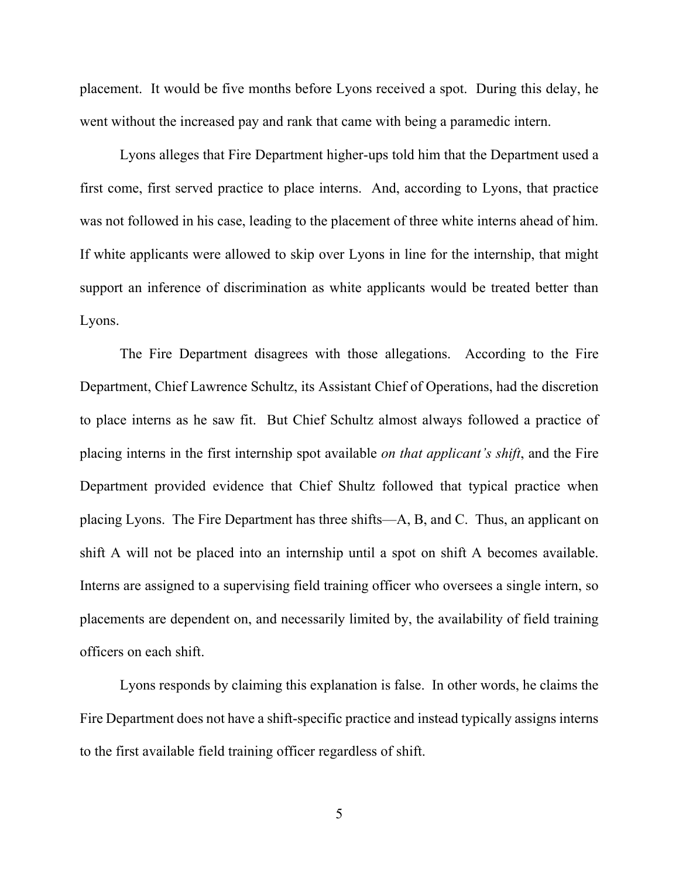placement. It would be five months before Lyons received a spot. During this delay, he went without the increased pay and rank that came with being a paramedic intern.

Lyons alleges that Fire Department higher-ups told him that the Department used a first come, first served practice to place interns. And, according to Lyons, that practice was not followed in his case, leading to the placement of three white interns ahead of him. If white applicants were allowed to skip over Lyons in line for the internship, that might support an inference of discrimination as white applicants would be treated better than Lyons.

The Fire Department disagrees with those allegations. According to the Fire Department, Chief Lawrence Schultz, its Assistant Chief of Operations, had the discretion to place interns as he saw fit. But Chief Schultz almost always followed a practice of placing interns in the first internship spot available *on that applicant's shift*, and the Fire Department provided evidence that Chief Shultz followed that typical practice when placing Lyons. The Fire Department has three shifts—A, B, and C. Thus, an applicant on shift A will not be placed into an internship until a spot on shift A becomes available. Interns are assigned to a supervising field training officer who oversees a single intern, so placements are dependent on, and necessarily limited by, the availability of field training officers on each shift.

Lyons responds by claiming this explanation is false. In other words, he claims the Fire Department does not have a shift-specific practice and instead typically assigns interns to the first available field training officer regardless of shift.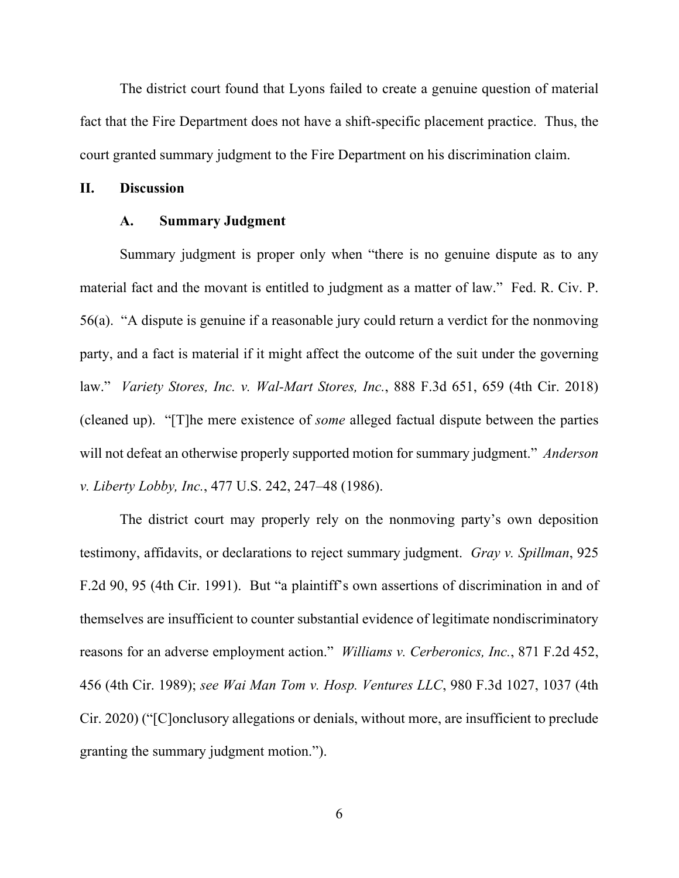The district court found that Lyons failed to create a genuine question of material fact that the Fire Department does not have a shift-specific placement practice. Thus, the court granted summary judgment to the Fire Department on his discrimination claim.

#### **II. Discussion**

## **A. Summary Judgment**

Summary judgment is proper only when "there is no genuine dispute as to any material fact and the movant is entitled to judgment as a matter of law." Fed. R. Civ. P. 56(a). "A dispute is genuine if a reasonable jury could return a verdict for the nonmoving party, and a fact is material if it might affect the outcome of the suit under the governing law." *Variety Stores, Inc. v. Wal-Mart Stores, Inc.*, 888 F.3d 651, 659 (4th Cir. 2018) (cleaned up). "[T]he mere existence of *some* alleged factual dispute between the parties will not defeat an otherwise properly supported motion for summary judgment." *Anderson v. Liberty Lobby, Inc.*, 477 U.S. 242, 247–48 (1986).

The district court may properly rely on the nonmoving party's own deposition testimony, affidavits, or declarations to reject summary judgment. *Gray v. Spillman*, 925 F.2d 90, 95 (4th Cir. 1991). But "a plaintiff's own assertions of discrimination in and of themselves are insufficient to counter substantial evidence of legitimate nondiscriminatory reasons for an adverse employment action." *Williams v. Cerberonics, Inc.*, 871 F.2d 452, 456 (4th Cir. 1989); *see Wai Man Tom v. Hosp. Ventures LLC*, 980 F.3d 1027, 1037 (4th Cir. 2020) ("[C]onclusory allegations or denials, without more, are insufficient to preclude granting the summary judgment motion.").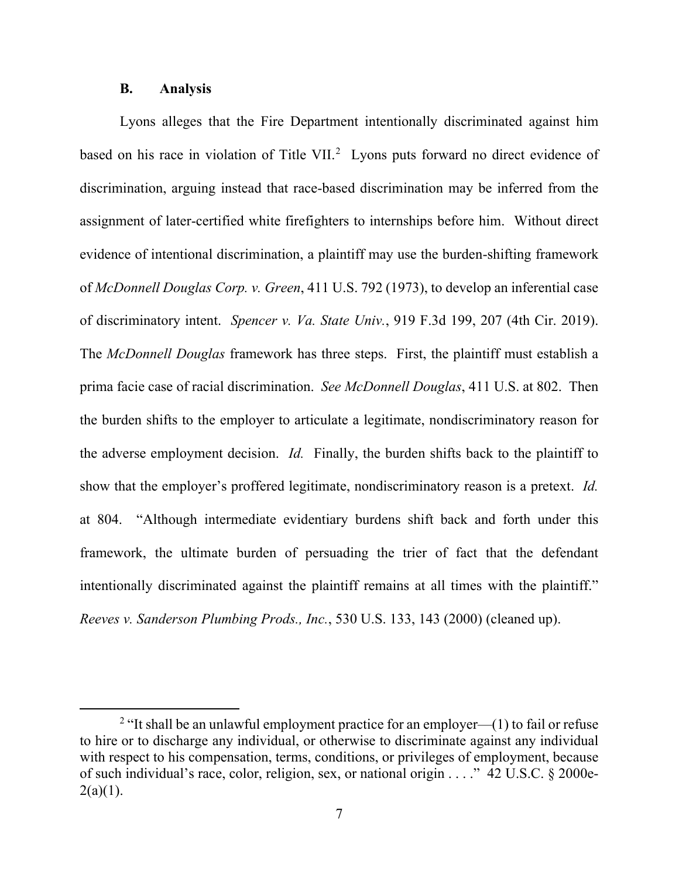## **B. Analysis**

Lyons alleges that the Fire Department intentionally discriminated against him based on his race in violation of Title VII.<sup>[2](#page-6-0)</sup> Lyons puts forward no direct evidence of discrimination, arguing instead that race-based discrimination may be inferred from the assignment of later-certified white firefighters to internships before him. Without direct evidence of intentional discrimination, a plaintiff may use the burden-shifting framework of *McDonnell Douglas Corp. v. Green*, 411 U.S. 792 (1973), to develop an inferential case of discriminatory intent. *Spencer v. Va. State Univ.*, 919 F.3d 199, 207 (4th Cir. 2019). The *McDonnell Douglas* framework has three steps. First, the plaintiff must establish a prima facie case of racial discrimination. *See McDonnell Douglas*, 411 U.S. at 802. Then the burden shifts to the employer to articulate a legitimate, nondiscriminatory reason for the adverse employment decision. *Id.* Finally, the burden shifts back to the plaintiff to show that the employer's proffered legitimate, nondiscriminatory reason is a pretext. *Id.*  at 804. "Although intermediate evidentiary burdens shift back and forth under this framework, the ultimate burden of persuading the trier of fact that the defendant intentionally discriminated against the plaintiff remains at all times with the plaintiff." *Reeves v. Sanderson Plumbing Prods., Inc.*, 530 U.S. 133, 143 (2000) (cleaned up).

<span id="page-6-0"></span><sup>&</sup>lt;sup>2</sup> "It shall be an unlawful employment practice for an employer—(1) to fail or refuse to hire or to discharge any individual, or otherwise to discriminate against any individual with respect to his compensation, terms, conditions, or privileges of employment, because of such individual's race, color, religion, sex, or national origin . . . ." 42 U.S.C. § 2000e- $2(a)(1)$ .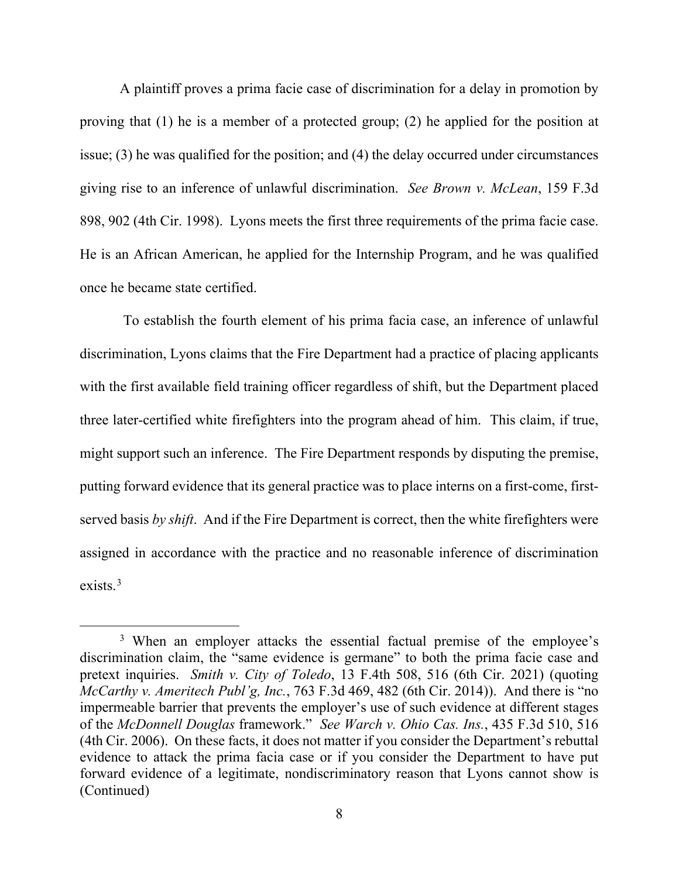A plaintiff proves a prima facie case of discrimination for a delay in promotion by proving that (1) he is a member of a protected group; (2) he applied for the position at issue; (3) he was qualified for the position; and (4) the delay occurred under circumstances giving rise to an inference of unlawful discrimination. *See Brown v. McLean*, 159 F.3d 898, 902 (4th Cir. 1998). Lyons meets the first three requirements of the prima facie case. He is an African American, he applied for the Internship Program, and he was qualified once he became state certified.

To establish the fourth element of his prima facia case, an inference of unlawful discrimination, Lyons claims that the Fire Department had a practice of placing applicants with the first available field training officer regardless of shift, but the Department placed three later-certified white firefighters into the program ahead of him. This claim, if true, might support such an inference. The Fire Department responds by disputing the premise, putting forward evidence that its general practice was to place interns on a first-come, firstserved basis *by shift*. And if the Fire Department is correct, then the white firefighters were assigned in accordance with the practice and no reasonable inference of discrimination exists.[3](#page-7-0)

<span id="page-7-0"></span><sup>&</sup>lt;sup>3</sup> When an employer attacks the essential factual premise of the employee's discrimination claim, the "same evidence is germane" to both the prima facie case and pretext inquiries. *Smith v. City of Toledo*, 13 F.4th 508, 516 (6th Cir. 2021) (quoting *McCarthy v. Ameritech Publ'g, Inc.*, 763 F.3d 469, 482 (6th Cir. 2014)). And there is "no impermeable barrier that prevents the employer's use of such evidence at different stages of the *McDonnell Douglas* framework." *See Warch v. Ohio Cas. Ins.*, 435 F.3d 510, 516 (4th Cir. 2006). On these facts, it does not matter if you consider the Department's rebuttal evidence to attack the prima facia case or if you consider the Department to have put forward evidence of a legitimate, nondiscriminatory reason that Lyons cannot show is (Continued)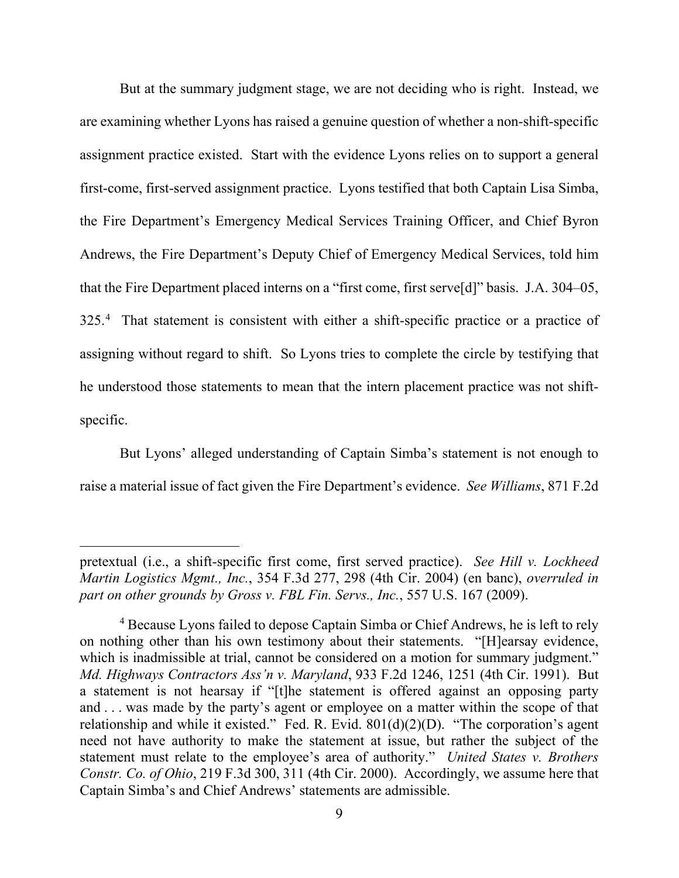But at the summary judgment stage, we are not deciding who is right. Instead, we are examining whether Lyons has raised a genuine question of whether a non-shift-specific assignment practice existed. Start with the evidence Lyons relies on to support a general first-come, first-served assignment practice. Lyons testified that both Captain Lisa Simba, the Fire Department's Emergency Medical Services Training Officer, and Chief Byron Andrews, the Fire Department's Deputy Chief of Emergency Medical Services, told him that the Fire Department placed interns on a "first come, first serve[d]" basis. J.A. 304–05, 325.<sup>[4](#page-8-0)</sup> That statement is consistent with either a shift-specific practice or a practice of assigning without regard to shift. So Lyons tries to complete the circle by testifying that he understood those statements to mean that the intern placement practice was not shiftspecific.

But Lyons' alleged understanding of Captain Simba's statement is not enough to raise a material issue of fact given the Fire Department's evidence. *See Williams*, 871 F.2d

pretextual (i.e., a shift-specific first come, first served practice). *See Hill v. Lockheed Martin Logistics Mgmt., Inc.*, 354 F.3d 277, 298 (4th Cir. 2004) (en banc), *overruled in part on other grounds by Gross v. FBL Fin. Servs., Inc.*, 557 U.S. 167 (2009).

<span id="page-8-0"></span><sup>&</sup>lt;sup>4</sup> Because Lyons failed to depose Captain Simba or Chief Andrews, he is left to rely on nothing other than his own testimony about their statements. "[H]earsay evidence, which is inadmissible at trial, cannot be considered on a motion for summary judgment." *Md. Highways Contractors Ass'n v. Maryland*, 933 F.2d 1246, 1251 (4th Cir. 1991). But a statement is not hearsay if "[t]he statement is offered against an opposing party and . . . was made by the party's agent or employee on a matter within the scope of that relationship and while it existed." Fed. R. Evid. 801(d)(2)(D). "The corporation's agent need not have authority to make the statement at issue, but rather the subject of the statement must relate to the employee's area of authority." *United States v. Brothers Constr. Co. of Ohio*, 219 F.3d 300, 311 (4th Cir. 2000). Accordingly, we assume here that Captain Simba's and Chief Andrews' statements are admissible.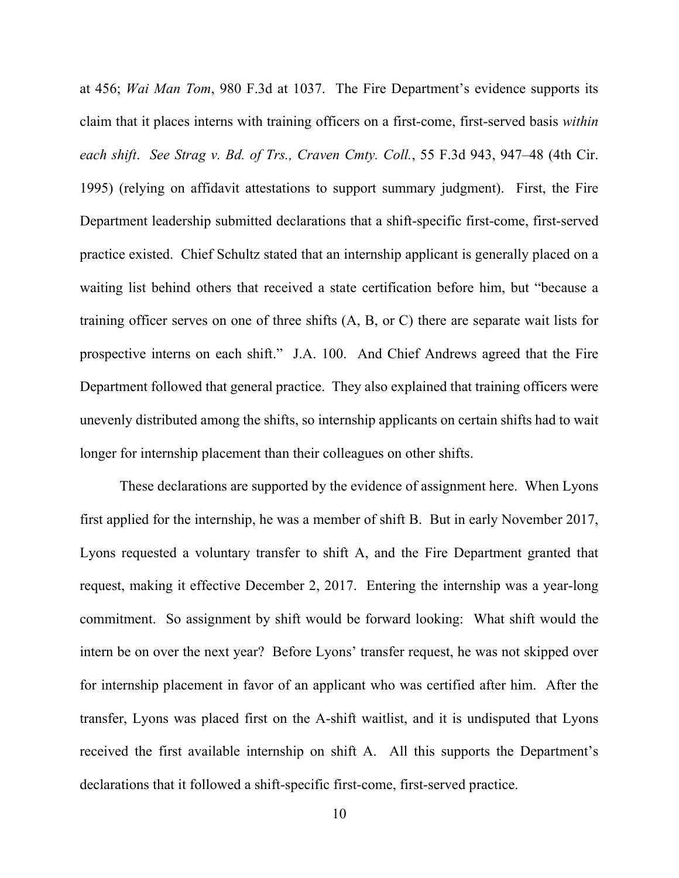at 456; *Wai Man Tom*, 980 F.3d at 1037. The Fire Department's evidence supports its claim that it places interns with training officers on a first-come, first-served basis *within each shift*. *See Strag v. Bd. of Trs., Craven Cmty. Coll.*, 55 F.3d 943, 947–48 (4th Cir. 1995) (relying on affidavit attestations to support summary judgment). First, the Fire Department leadership submitted declarations that a shift-specific first-come, first-served practice existed. Chief Schultz stated that an internship applicant is generally placed on a waiting list behind others that received a state certification before him, but "because a training officer serves on one of three shifts (A, B, or C) there are separate wait lists for prospective interns on each shift." J.A. 100. And Chief Andrews agreed that the Fire Department followed that general practice. They also explained that training officers were unevenly distributed among the shifts, so internship applicants on certain shifts had to wait longer for internship placement than their colleagues on other shifts.

These declarations are supported by the evidence of assignment here. When Lyons first applied for the internship, he was a member of shift B. But in early November 2017, Lyons requested a voluntary transfer to shift A, and the Fire Department granted that request, making it effective December 2, 2017. Entering the internship was a year-long commitment. So assignment by shift would be forward looking: What shift would the intern be on over the next year? Before Lyons' transfer request, he was not skipped over for internship placement in favor of an applicant who was certified after him. After the transfer, Lyons was placed first on the A-shift waitlist, and it is undisputed that Lyons received the first available internship on shift A. All this supports the Department's declarations that it followed a shift-specific first-come, first-served practice.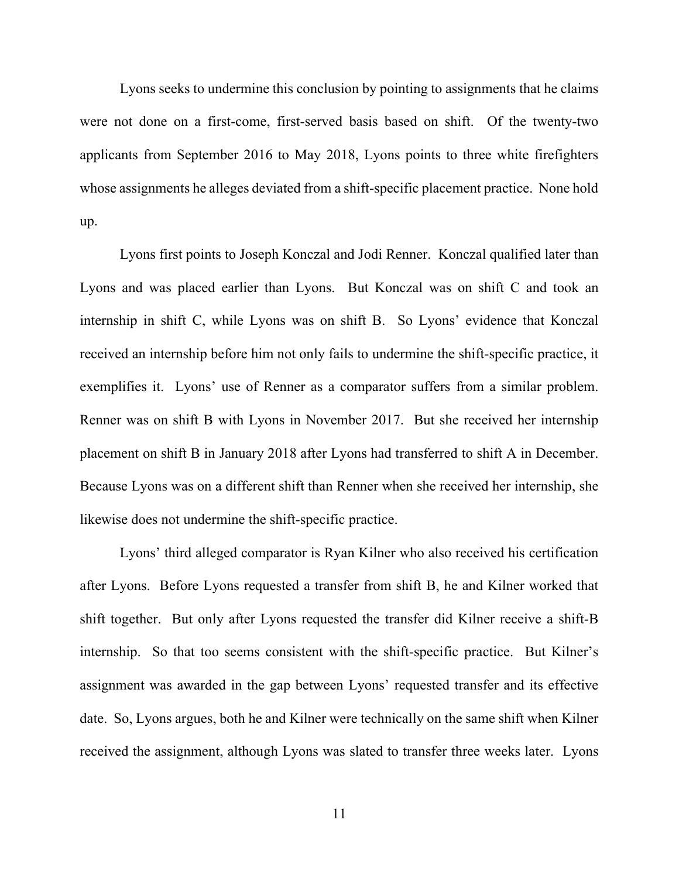Lyons seeks to undermine this conclusion by pointing to assignments that he claims were not done on a first-come, first-served basis based on shift. Of the twenty-two applicants from September 2016 to May 2018, Lyons points to three white firefighters whose assignments he alleges deviated from a shift-specific placement practice. None hold up.

Lyons first points to Joseph Konczal and Jodi Renner. Konczal qualified later than Lyons and was placed earlier than Lyons. But Konczal was on shift C and took an internship in shift C, while Lyons was on shift B. So Lyons' evidence that Konczal received an internship before him not only fails to undermine the shift-specific practice, it exemplifies it. Lyons' use of Renner as a comparator suffers from a similar problem. Renner was on shift B with Lyons in November 2017. But she received her internship placement on shift B in January 2018 after Lyons had transferred to shift A in December. Because Lyons was on a different shift than Renner when she received her internship, she likewise does not undermine the shift-specific practice.

Lyons' third alleged comparator is Ryan Kilner who also received his certification after Lyons. Before Lyons requested a transfer from shift B, he and Kilner worked that shift together. But only after Lyons requested the transfer did Kilner receive a shift-B internship. So that too seems consistent with the shift-specific practice. But Kilner's assignment was awarded in the gap between Lyons' requested transfer and its effective date. So, Lyons argues, both he and Kilner were technically on the same shift when Kilner received the assignment, although Lyons was slated to transfer three weeks later. Lyons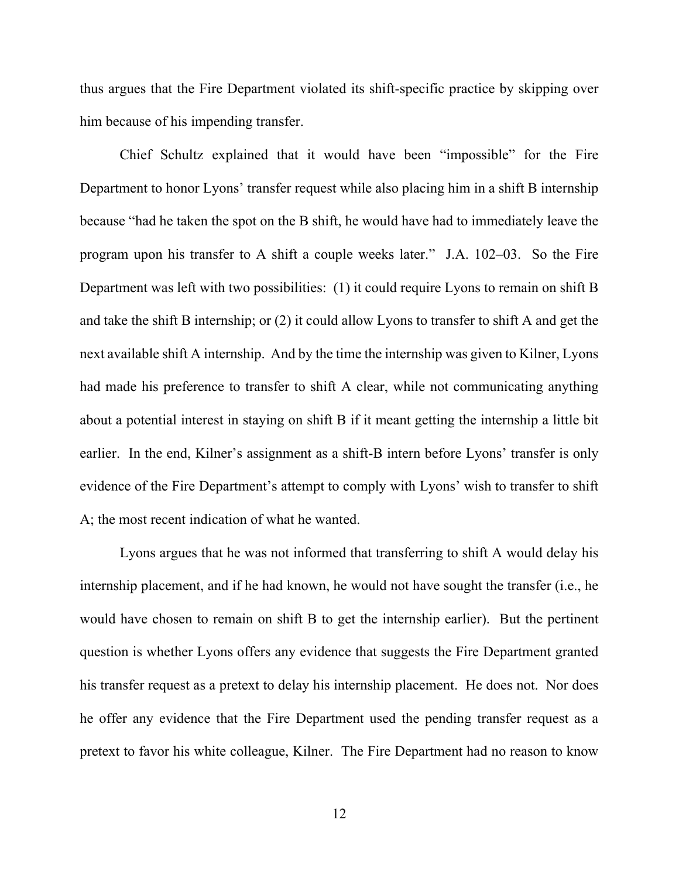thus argues that the Fire Department violated its shift-specific practice by skipping over him because of his impending transfer.

Chief Schultz explained that it would have been "impossible" for the Fire Department to honor Lyons' transfer request while also placing him in a shift B internship because "had he taken the spot on the B shift, he would have had to immediately leave the program upon his transfer to A shift a couple weeks later." J.A. 102–03. So the Fire Department was left with two possibilities: (1) it could require Lyons to remain on shift B and take the shift B internship; or (2) it could allow Lyons to transfer to shift A and get the next available shift A internship. And by the time the internship was given to Kilner, Lyons had made his preference to transfer to shift A clear, while not communicating anything about a potential interest in staying on shift B if it meant getting the internship a little bit earlier. In the end, Kilner's assignment as a shift-B intern before Lyons' transfer is only evidence of the Fire Department's attempt to comply with Lyons' wish to transfer to shift A; the most recent indication of what he wanted.

Lyons argues that he was not informed that transferring to shift A would delay his internship placement, and if he had known, he would not have sought the transfer (i.e., he would have chosen to remain on shift B to get the internship earlier). But the pertinent question is whether Lyons offers any evidence that suggests the Fire Department granted his transfer request as a pretext to delay his internship placement. He does not. Nor does he offer any evidence that the Fire Department used the pending transfer request as a pretext to favor his white colleague, Kilner. The Fire Department had no reason to know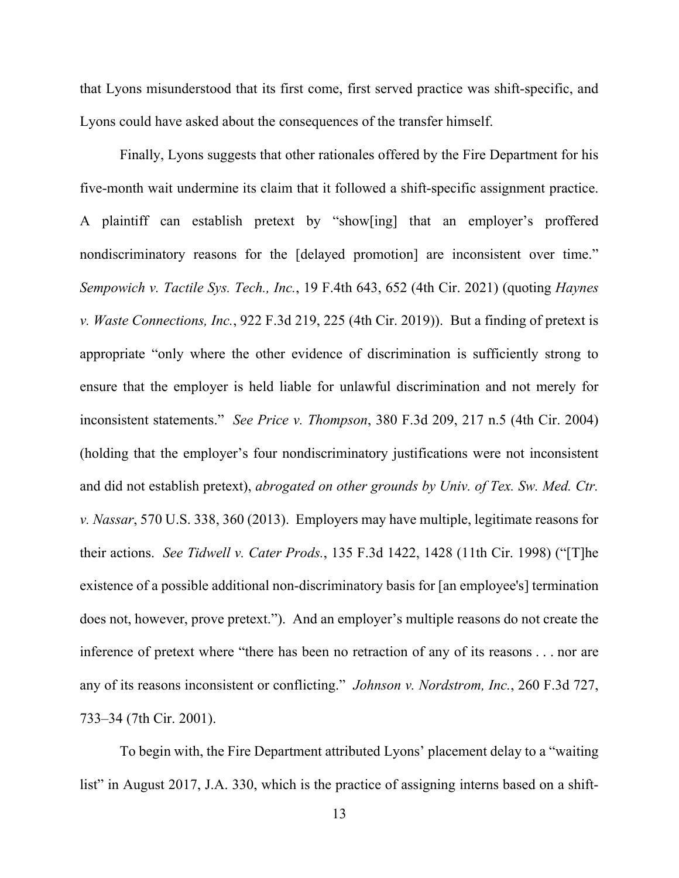that Lyons misunderstood that its first come, first served practice was shift-specific, and Lyons could have asked about the consequences of the transfer himself.

Finally, Lyons suggests that other rationales offered by the Fire Department for his five-month wait undermine its claim that it followed a shift-specific assignment practice. A plaintiff can establish pretext by "show[ing] that an employer's proffered nondiscriminatory reasons for the [delayed promotion] are inconsistent over time." *Sempowich v. Tactile Sys. Tech., Inc.*, 19 F.4th 643, 652 (4th Cir. 2021) (quoting *Haynes v. Waste Connections, Inc.*, 922 F.3d 219, 225 (4th Cir. 2019)). But a finding of pretext is appropriate "only where the other evidence of discrimination is sufficiently strong to ensure that the employer is held liable for unlawful discrimination and not merely for inconsistent statements." *See Price v. Thompson*, 380 F.3d 209, 217 n.5 (4th Cir. 2004) (holding that the employer's four nondiscriminatory justifications were not inconsistent and did not establish pretext), *abrogated on other grounds by Univ. of Tex. Sw. Med. Ctr. v. Nassar*, 570 U.S. 338, 360 (2013). Employers may have multiple, legitimate reasons for their actions. *See Tidwell v. Cater Prods.*, 135 F.3d 1422, 1428 (11th Cir. 1998) ("[T]he existence of a possible additional non-discriminatory basis for [an employee's] termination does not, however, prove pretext."). And an employer's multiple reasons do not create the inference of pretext where "there has been no retraction of any of its reasons . . . nor are any of its reasons inconsistent or conflicting." *Johnson v. Nordstrom, Inc.*, 260 F.3d 727, 733–34 (7th Cir. 2001).

To begin with, the Fire Department attributed Lyons' placement delay to a "waiting list" in August 2017, J.A. 330, which is the practice of assigning interns based on a shift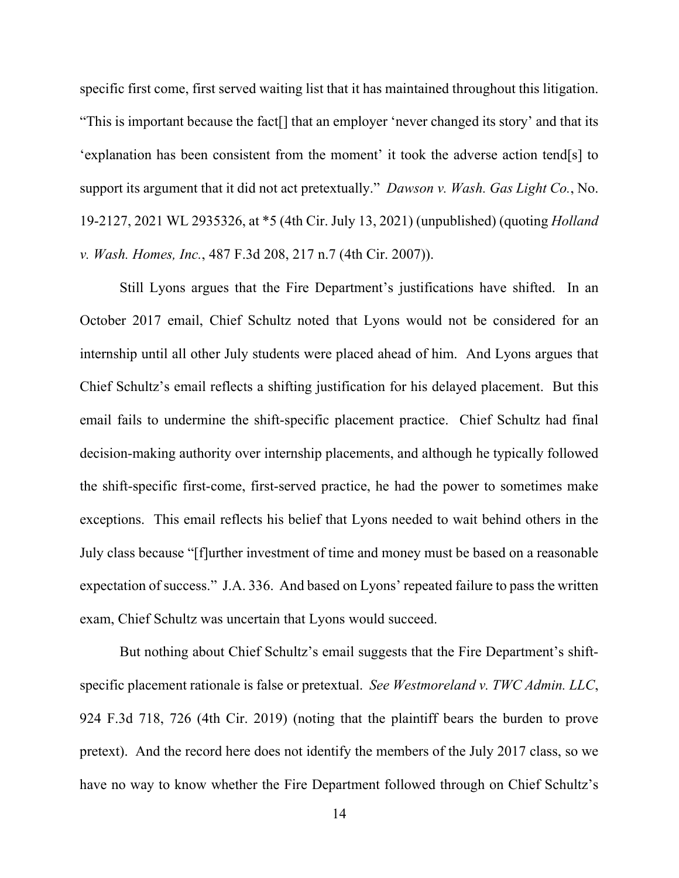specific first come, first served waiting list that it has maintained throughout this litigation. "This is important because the fact[] that an employer 'never changed its story' and that its 'explanation has been consistent from the moment' it took the adverse action tend[s] to support its argument that it did not act pretextually." *Dawson v. Wash. Gas Light Co.*, No. 19-2127, 2021 WL 2935326, at \*5 (4th Cir. July 13, 2021) (unpublished) (quoting *Holland v. Wash. Homes, Inc.*, 487 F.3d 208, 217 n.7 (4th Cir. 2007)).

Still Lyons argues that the Fire Department's justifications have shifted. In an October 2017 email, Chief Schultz noted that Lyons would not be considered for an internship until all other July students were placed ahead of him. And Lyons argues that Chief Schultz's email reflects a shifting justification for his delayed placement. But this email fails to undermine the shift-specific placement practice. Chief Schultz had final decision-making authority over internship placements, and although he typically followed the shift-specific first-come, first-served practice, he had the power to sometimes make exceptions. This email reflects his belief that Lyons needed to wait behind others in the July class because "[f]urther investment of time and money must be based on a reasonable expectation of success." J.A. 336. And based on Lyons' repeated failure to pass the written exam, Chief Schultz was uncertain that Lyons would succeed.

But nothing about Chief Schultz's email suggests that the Fire Department's shiftspecific placement rationale is false or pretextual. *See Westmoreland v. TWC Admin. LLC*, 924 F.3d 718, 726 (4th Cir. 2019) (noting that the plaintiff bears the burden to prove pretext). And the record here does not identify the members of the July 2017 class, so we have no way to know whether the Fire Department followed through on Chief Schultz's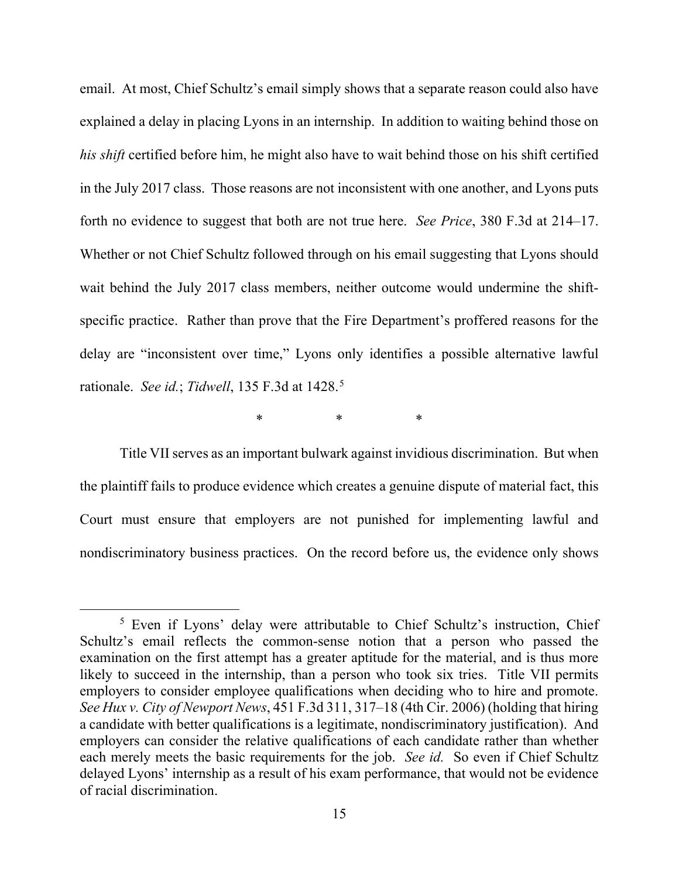email. At most, Chief Schultz's email simply shows that a separate reason could also have explained a delay in placing Lyons in an internship. In addition to waiting behind those on *his shift* certified before him, he might also have to wait behind those on his shift certified in the July 2017 class. Those reasons are not inconsistent with one another, and Lyons puts forth no evidence to suggest that both are not true here. *See Price*, 380 F.3d at 214–17. Whether or not Chief Schultz followed through on his email suggesting that Lyons should wait behind the July 2017 class members, neither outcome would undermine the shiftspecific practice. Rather than prove that the Fire Department's proffered reasons for the delay are "inconsistent over time," Lyons only identifies a possible alternative lawful rationale. *See id.*; *Tidwell*, 135 F.3d at 1428. [5](#page-14-0)

\* \* \* \*

Title VII serves as an important bulwark against invidious discrimination. But when the plaintiff fails to produce evidence which creates a genuine dispute of material fact, this Court must ensure that employers are not punished for implementing lawful and nondiscriminatory business practices. On the record before us, the evidence only shows

<span id="page-14-0"></span><sup>&</sup>lt;sup>5</sup> Even if Lyons' delay were attributable to Chief Schultz's instruction, Chief Schultz's email reflects the common-sense notion that a person who passed the examination on the first attempt has a greater aptitude for the material, and is thus more likely to succeed in the internship, than a person who took six tries. Title VII permits employers to consider employee qualifications when deciding who to hire and promote. *See Hux v. City of Newport News*, 451 F.3d 311, 317–18 (4th Cir. 2006) (holding that hiring a candidate with better qualifications is a legitimate, nondiscriminatory justification). And employers can consider the relative qualifications of each candidate rather than whether each merely meets the basic requirements for the job. *See id.* So even if Chief Schultz delayed Lyons' internship as a result of his exam performance, that would not be evidence of racial discrimination.